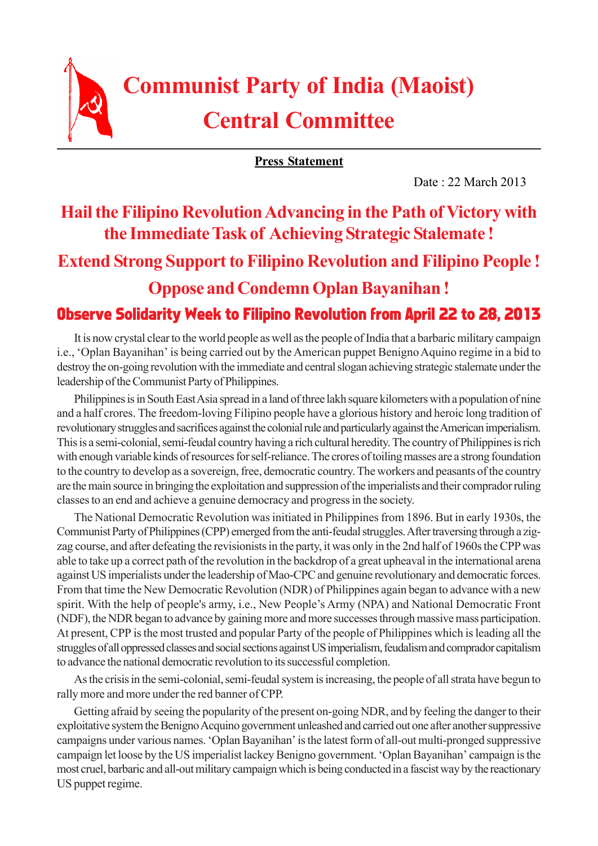

# **Communist Party of India (Maoist) Central Committee**

**Press Statement**

Date : 22 March 2013

## **Hail the Filipino Revolution Advancing in the Path of Victory with the Immediate Task of Achieving Strategic Stalemate !**

#### **Extend Strong Support to Filipino Revolution and Filipino People !**

#### **Oppose and Condemn Oplan Bayanihan !**

### Observe Solidarity Week to Filipino Revolution from April 22 to 28, 2013

It is now crystal clear to the world people as well as the people of India that a barbaric military campaign i.e., 'Oplan Bayanihan' is being carried out by the American puppet Benigno Aquino regime in a bid to destroy the on-going revolution with the immediate and central slogan achieving strategic stalemate under the leadership of the Communist Party of Philippines.

Philippines is in South East Asia spread in a land of three lakh square kilometers with a population of nine and a half crores. The freedom-loving Filipino people have a glorious history and heroic long tradition of revolutionary struggles and sacrifices against the colonial rule and particularly against the American imperialism. This is a semi-colonial, semi-feudal country having a rich cultural heredity. The country of Philippines is rich with enough variable kinds of resources for self-reliance. The crores of toiling masses are a strong foundation to the country to develop as a sovereign, free, democratic country. The workers and peasants of the country are the main source in bringing the exploitation and suppression of the imperialists and their comprador ruling classes to an end and achieve a genuine democracy and progress in the society.

The National Democratic Revolution was initiated in Philippines from 1896. But in early 1930s, the Communist Party of Philippines (CPP) emerged from the anti-feudal struggles. After traversing through a zigzag course, and after defeating the revisionists in the party, it was only in the 2nd half of 1960s the CPP was able to take up a correct path of the revolution in the backdrop of a great upheaval in the international arena against US imperialists under the leadership of Mao-CPC and genuine revolutionary and democratic forces. From that time the New Democratic Revolution (NDR) of Philippines again began to advance with a new spirit. With the help of people's army, i.e., New People's Army (NPA) and National Democratic Front (NDF), the NDR began to advance by gaining more and more successes through massive mass participation. At present, CPP is the most trusted and popular Party of the people of Philippines which is leading all the struggles of all oppressed classes and social sections against US imperialism, feudalism and comprador capitalism to advance the national democratic revolution to its successful completion.

As the crisis in the semi-colonial, semi-feudal system is increasing, the people of all strata have begun to rally more and more under the red banner of CPP.

Getting afraid by seeing the popularity of the present on-going NDR, and by feeling the danger to their exploitative system the Benigno Acquino government unleashed and carried out one after another suppressive campaigns under various names. 'Oplan Bayanihan' is the latest form of all-out multi-pronged suppressive campaign let loose by the US imperialist lackey Benigno government. 'Oplan Bayanihan' campaign is the most cruel, barbaric and all-out military campaign which is being conducted in a fascist way by the reactionary US puppet regime.